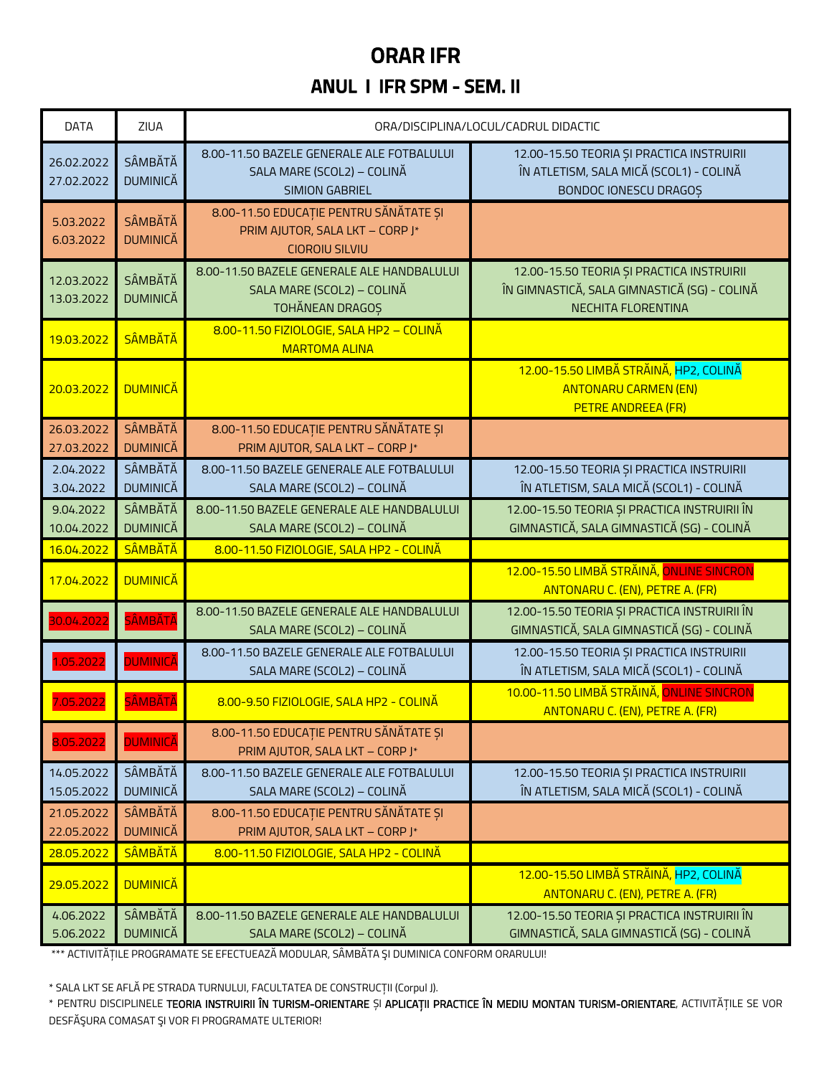### ORAR IFR

#### ANUL I IFR SPM - SEM. II

| <b>DATA</b>              | ZIUA                              | ORA/DISCIPLINA/LOCUL/CADRUL DIDACTIC                                                               |                                                                                                                 |  |  |
|--------------------------|-----------------------------------|----------------------------------------------------------------------------------------------------|-----------------------------------------------------------------------------------------------------------------|--|--|
| 26.02.2022<br>27.02.2022 | SÂMBĂTĂ<br><b>DUMINICĂ</b>        | 8.00-11.50 BAZELE GENERALE ALE FOTBALULUI<br>SALA MARE (SCOL2) - COLINĂ<br><b>SIMION GABRIEL</b>   | 12.00-15.50 TEORIA ȘI PRACTICA INSTRUIRII<br>ÎN ATLETISM, SALA MICĂ (SCOL1) - COLINĂ<br>BONDOC IONESCU DRAGOS   |  |  |
| 5.03.2022<br>6.03.2022   | SÂMBĂTĂ<br><b>DUMINICĂ</b>        | 8.00-11.50 EDUCAȚIE PENTRU SĂNĂTATE ȘI<br>PRIM AJUTOR, SALA LKT - CORP J*<br><b>CIOROIU SILVIU</b> |                                                                                                                 |  |  |
| 12.03.2022<br>13.03.2022 | SÂMBĂTĂ<br><b>DUMINICĂ</b>        | 8.00-11.50 BAZELE GENERALE ALE HANDBALULUI<br>SALA MARE (SCOL2) - COLINĂ<br>TOHĂNEAN DRAGOS        | 12.00-15.50 TEORIA ȘI PRACTICA INSTRUIRII<br>ÎN GIMNASTICĂ, SALA GIMNASTICĂ (SG) - COLINĂ<br>NECHITA FLORENTINA |  |  |
| 19.03.2022               | <b>SÂMBĂTĂ</b>                    | 8.00-11.50 FIZIOLOGIE, SALA HP2 - COLINĂ<br><b>MARTOMA ALINA</b>                                   |                                                                                                                 |  |  |
| 20.03.2022               | <b>DUMINICĂ</b>                   |                                                                                                    | 12.00-15.50 LIMBĂ STRĂINĂ, HP2, COLINĂ<br><b>ANTONARU CARMEN (EN)</b><br>PETRE ANDREEA (FR)                     |  |  |
| 26.03.2022<br>27.03.2022 | SÂMBĂTĂ<br><b>DUMINICĂ</b>        | 8.00-11.50 EDUCAȚIE PENTRU SĂNĂTATE ȘI<br>PRIM AJUTOR, SALA LKT - CORP J*                          |                                                                                                                 |  |  |
| 2.04.2022<br>3.04.2022   | SÂMBĂTĂ<br><b>DUMINICĂ</b>        | 8.00-11.50 BAZELE GENERALE ALE FOTBALULUI<br>SALA MARE (SCOL2) - COLINĂ                            | 12.00-15.50 TEORIA ȘI PRACTICA INSTRUIRII<br>ÎN ATLETISM, SALA MICĂ (SCOL1) - COLINĂ                            |  |  |
| 9.04.2022<br>10.04.2022  | SÂMBĂTĂ<br><b>DUMINICĂ</b>        | 8.00-11.50 BAZELE GENERALE ALE HANDBALULUI<br>SALA MARE (SCOL2) - COLINĂ                           | 12.00-15.50 TEORIA ȘI PRACTICA INSTRUIRII ÎN<br>GIMNASTICĂ, SALA GIMNASTICĂ (SG) - COLINĂ                       |  |  |
| 16.04.2022               | <b>SÂMBĂTĂ</b>                    | 8.00-11.50 FIZIOLOGIE, SALA HP2 - COLINĂ                                                           |                                                                                                                 |  |  |
| 17.04.2022               | <b>DUMINICĂ</b>                   |                                                                                                    | 12.00-15.50 LIMBĂ STRĂINĂ, ONLINE SINCRON<br>ANTONARU C. (EN), PETRE A. (FR)                                    |  |  |
| 30.04.2022               | <b>SÂMBĂTĂ</b>                    | 8.00-11.50 BAZELE GENERALE ALE HANDBALULUI<br>SALA MARE (SCOL2) - COLINĂ                           | 12.00-15.50 TEORIA ȘI PRACTICA INSTRUIRII ÎN<br>GIMNASTICĂ, SALA GIMNASTICĂ (SG) - COLINĂ                       |  |  |
| 1.05.2022                | <b>DUMINICĂ</b>                   | 8.00-11.50 BAZELE GENERALE ALE FOTBALULUI<br>SALA MARE (SCOL2) - COLINĂ                            | 12.00-15.50 TEORIA ȘI PRACTICA INSTRUIRII<br>ÎN ATLETISM, SALA MICĂ (SCOL1) - COLINĂ                            |  |  |
| 7.05.2022                | SÂMBĂTĂ                           | 8.00-9.50 FIZIOLOGIE, SALA HP2 - COLINĂ                                                            | 10.00-11.50 LIMBĂ STRĂINĂ, ONLINE SINCRON<br>ANTONARU C. (EN), PETRE A. (FR)                                    |  |  |
| 8.05.2022                | <b>DUMINICĂ</b>                   | 8.00-11.50 EDUCAȚIE PENTRU SĂNĂTATE ȘI<br>PRIM AJUTOR, SALA LKT - CORP J*                          |                                                                                                                 |  |  |
| 14.05.2022<br>15.05.2022 | SÂMBĂTĂ<br><b>DUMINICĂ</b>        | 8.00-11.50 BAZELE GENERALE ALE FOTBALULUI<br>SALA MARE (SCOL2) - COLINĂ                            | 12.00-15.50 TEORIA ȘI PRACTICA INSTRUIRII<br>ÎN ATLETISM, SALA MICĂ (SCOL1) - COLINĂ                            |  |  |
| 21.05.2022<br>22.05.2022 | <b>SÂMBĂTĂ</b><br><b>DUMINICĂ</b> | 8.00-11.50 EDUCAȚIE PENTRU SĂNĂTATE ȘI<br>PRIM AJUTOR, SALA LKT - CORP J*                          |                                                                                                                 |  |  |
| 28.05.2022               | <b>SÂMBĂTĂ</b>                    | 8.00-11.50 FIZIOLOGIE, SALA HP2 - COLINĂ                                                           |                                                                                                                 |  |  |
| 29.05.2022               | <b>DUMINICĂ</b>                   |                                                                                                    | 12.00-15.50 LIMBĂ STRĂINĂ, HP2, COLINĂ<br>ANTONARU C. (EN), PETRE A. (FR)                                       |  |  |
| 4.06.2022<br>5.06.2022   | SÂMBĂTĂ<br><b>DUMINICĂ</b>        | 8.00-11.50 BAZELE GENERALE ALE HANDBALULUI<br>SALA MARE (SCOL2) - COLINĂ                           | 12.00-15.50 TEORIA ȘI PRACTICA INSTRUIRII ÎN<br>GIMNASTICĂ, SALA GIMNASTICĂ (SG) - COLINĂ                       |  |  |

\*\*\* ACTIVITĂȚILE PROGRAMATE SE EFECTUEAZĂ MODULAR, SÂMBĂTA ŞI DUMINICA CONFORM ORARULUI!

\* SALA LKT SE AFLĂ PE STRADA TURNULUI, FACULTATEA DE CONSTRUCȚII (Corpul J).

\* PENTRU DISCIPLINELE TEORIA INSTRUIRII ÎN TURISM-ORIENTARE ȘI APLICAȚII PRACTICE ÎN MEDIU MONTAN TURISM-ORIENTARE, ACTIVITĂȚILE SE VOR DESFĂŞURA COMASAT ŞI VOR FI PROGRAMATE ULTERIOR!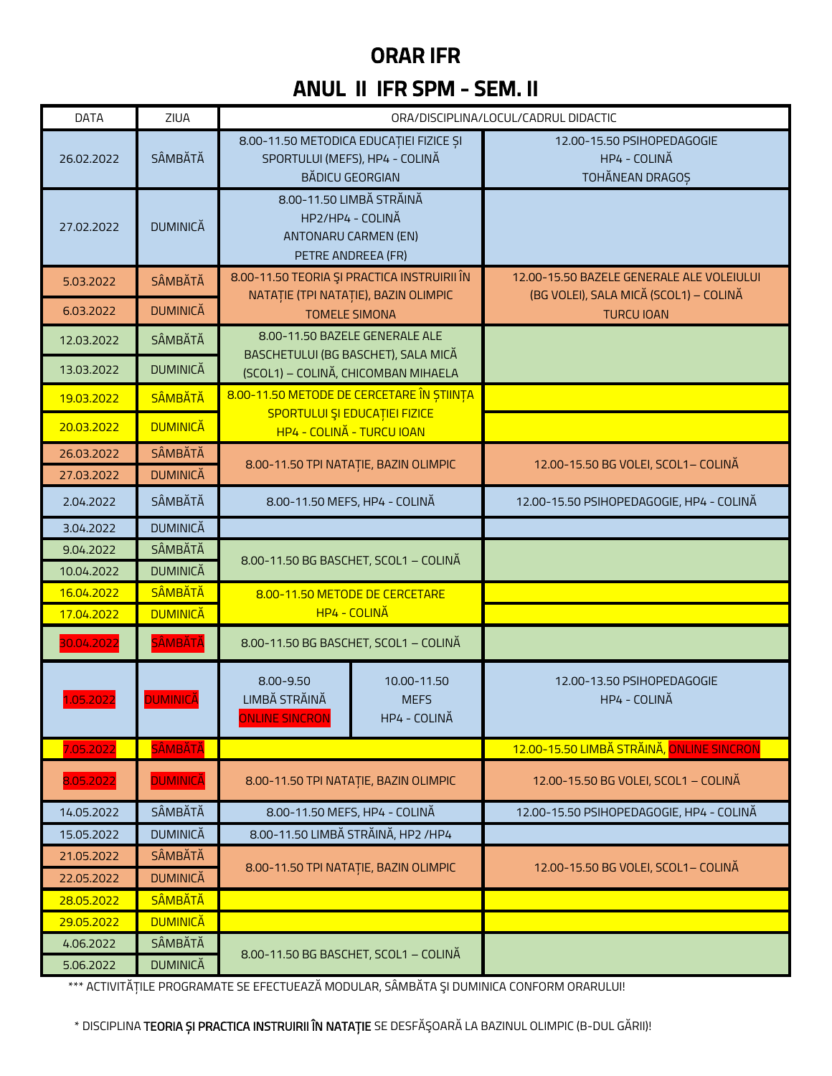# **ORAR IFR**

### **ANUL II IFR SPM - SEM. II**

| <b>DATA</b>                   | ZIUA                       |                                                                                                     |                                                                | ORA/DISCIPLINA/LOCUL/CADRUL DIDACTIC                          |  |
|-------------------------------|----------------------------|-----------------------------------------------------------------------------------------------------|----------------------------------------------------------------|---------------------------------------------------------------|--|
| SÂMBĂTĂ<br>26.02.2022         |                            | 8.00-11.50 METODICA EDUCAȚIEI FIZICE ȘI<br>SPORTULUI (MEFS), HP4 - COLINĂ<br><b>BĂDICU GEORGIAN</b> |                                                                | 12.00-15.50 PSIHOPEDAGOGIE<br>HP4 - COLINĂ<br>TOHĂNEAN DRAGOȘ |  |
| <b>DUMINICĂ</b><br>27.02.2022 |                            | 8.00-11.50 LIMBĂ STRĂINĂ                                                                            | HP2/HP4 - COLINĂ<br>ANTONARU CARMEN (EN)<br>PETRE ANDREEA (FR) |                                                               |  |
| 5.03.2022                     | SÂMBĂTĂ                    | 8.00-11.50 TEORIA ȘI PRACTICA INSTRUIRII ÎN                                                         |                                                                | 12.00-15.50 BAZELE GENERALE ALE VOLEIULUI                     |  |
| 6.03.2022                     | <b>DUMINICĂ</b>            | NATAȚIE (TPI NATAȚIE), BAZIN OLIMPIC<br><b>TOMELE SIMONA</b>                                        |                                                                | (BG VOLEI), SALA MICĂ (SCOL1) - COLINĂ<br><b>TURCU IOAN</b>   |  |
| 12.03.2022                    | SÂMBĂTĂ                    | 8.00-11.50 BAZELE GENERALE ALE                                                                      |                                                                |                                                               |  |
| 13.03.2022                    | <b>DUMINICĂ</b>            |                                                                                                     | BASCHETULUI (BG BASCHET), SALA MICĂ                            |                                                               |  |
|                               | <b>SÂMBĂTĂ</b>             | (SCOL1) - COLINĂ, CHICOMBAN MIHAELA<br>8.00-11.50 METODE DE CERCETARE ÎN ȘTIINȚA                    |                                                                |                                                               |  |
| 19.03.2022                    |                            | SPORTULUI ȘI EDUCAȚIEI FIZICE                                                                       |                                                                |                                                               |  |
| 20.03.2022                    | <b>DUMINICĂ</b>            | HP4 - COLINĂ - TURCU IOAN                                                                           |                                                                |                                                               |  |
| 26.03.2022                    | SÂMBĂTĂ<br><b>DUMINICĂ</b> |                                                                                                     | 8.00-11.50 TPI NATAȚIE, BAZIN OLIMPIC                          | 12.00-15.50 BG VOLEI, SCOL1- COLINA                           |  |
| 27.03.2022                    | SÂMBĂTĂ                    |                                                                                                     |                                                                |                                                               |  |
| 2.04.2022                     |                            | 8.00-11.50 MEFS, HP4 - COLINA                                                                       |                                                                | 12.00-15.50 PSIHOPEDAGOGIE, HP4 - COLINĂ                      |  |
| 3.04.2022                     | <b>DUMINICĂ</b>            |                                                                                                     |                                                                |                                                               |  |
| 9.04.2022<br>10.04.2022       | SÂMBĂTĂ<br><b>DUMINICĂ</b> | 8.00-11.50 BG BASCHET, SCOL1 - COLINA                                                               |                                                                |                                                               |  |
| 16.04.2022                    | SÂMBĂTĂ                    |                                                                                                     |                                                                |                                                               |  |
| 17.04.2022                    | <b>DUMINICĂ</b>            | 8.00-11.50 METODE DE CERCETARE<br>HP4 - COLINĂ                                                      |                                                                |                                                               |  |
| 30.04.2022                    | <b>SÂMBĂTĂ</b>             | 8.00-11.50 BG BASCHET, SCOL1 - COLINĂ                                                               |                                                                |                                                               |  |
| 1.05.2022                     | <b>DUMINICĂ</b>            | 8.00-9.50<br>LIMBĂ STRĂINĂ<br><b>ONLINE SINCRON</b>                                                 | 10.00-11.50<br><b>MEFS</b><br>HP4 - COLINĂ                     | 12.00-13.50 PSIHOPEDAGOGIE<br>HP4 - COLINĂ                    |  |
| 7.05.2022                     | <b>SÂMBĂTĂ</b>             |                                                                                                     |                                                                | 12.00-15.50 LIMBĂ STRĂINĂ, ONLINE SINCRON                     |  |
| 8.05.2022                     | <b>DUMINICĂ</b>            | 8.00-11.50 TPI NATAȚIE, BAZIN OLIMPIC                                                               |                                                                | 12.00-15.50 BG VOLEI, SCOL1 - COLINĂ                          |  |
| 14.05.2022                    | SÂMBĂTĂ                    | 8.00-11.50 MEFS, HP4 - COLINĂ                                                                       |                                                                | 12.00-15.50 PSIHOPEDAGOGIE, HP4 - COLINĂ                      |  |
| 15.05.2022                    | <b>DUMINICĂ</b>            | 8.00-11.50 LIMBĂ STRĂINĂ, HP2 /HP4                                                                  |                                                                |                                                               |  |
| 21.05.2022                    | <b>SÂMBĂTĂ</b>             | 8.00-11.50 TPI NATAȚIE, BAZIN OLIMPIC                                                               |                                                                | 12.00-15.50 BG VOLEI, SCOL1- COLINA                           |  |
| 22.05.2022                    | <b>DUMINICĂ</b>            |                                                                                                     |                                                                |                                                               |  |
| 28.05.2022                    | <b>SÂMBĂTĂ</b>             |                                                                                                     |                                                                |                                                               |  |
| 29.05.2022                    | <b>DUMINICĂ</b>            |                                                                                                     |                                                                |                                                               |  |
| 4.06.2022                     | SÂMBĂTĂ                    | 8.00-11.50 BG BASCHET, SCOL1 - COLINĂ                                                               |                                                                |                                                               |  |
| 5.06.2022                     | <b>DUMINICĂ</b>            |                                                                                                     |                                                                |                                                               |  |

\*\*\* ACTIVITĂȚILE PROGRAMATE SE EFECTUEAZĂ MODULAR, SÂMBĂTA ȘI DUMINICA CONFORM ORARULUI!

\* DISCIPLINA TEORIA ȘI PRACTICA INSTRUIRII ÎN NATAȚIE SE DESFĂȘOARĂ LA BAZINUL OLIMPIC (B-DUL GĂRII)!